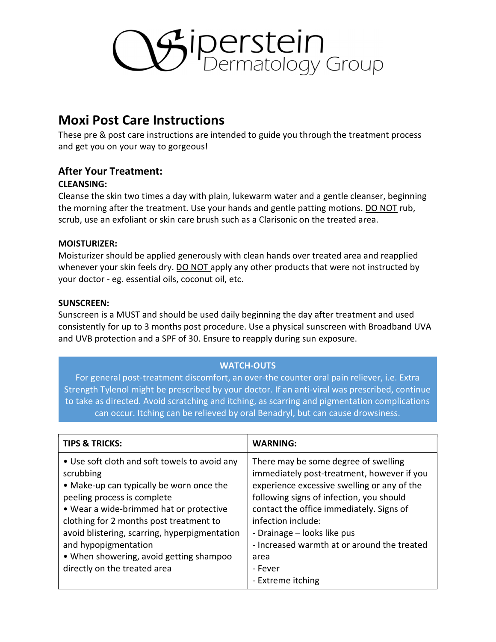

# Moxi Post Care Instructions

These pre & post care instructions are intended to guide you through the treatment process and get you on your way to gorgeous!

## After Your Treatment:

#### CLEANSING:

Cleanse the skin two times a day with plain, lukewarm water and a gentle cleanser, beginning the morning after the treatment. Use your hands and gentle patting motions. DO NOT rub, scrub, use an exfoliant or skin care brush such as a Clarisonic on the treated area.

#### MOISTURIZER:

Moisturizer should be applied generously with clean hands over treated area and reapplied whenever your skin feels dry. DO NOT apply any other products that were not instructed by your doctor - eg. essential oils, coconut oil, etc.

#### SUNSCREEN:

Sunscreen is a MUST and should be used daily beginning the day after treatment and used consistently for up to 3 months post procedure. Use a physical sunscreen with Broadband UVA and UVB protection and a SPF of 30. Ensure to reapply during sun exposure.

### WATCH-OUTS

For general post-treatment discomfort, an over-the counter oral pain reliever, i.e. Extra Strength Tylenol might be prescribed by your doctor. If an anti-viral was prescribed, continue to take as directed. Avoid scratching and itching, as scarring and pigmentation complications can occur. Itching can be relieved by oral Benadryl, but can cause drowsiness.

| <b>TIPS &amp; TRICKS:</b>                                                                                                                                                                                                                                                                                                                                                       | <b>WARNING:</b>                                                                                                                                                                                                                                                                                                                                                       |
|---------------------------------------------------------------------------------------------------------------------------------------------------------------------------------------------------------------------------------------------------------------------------------------------------------------------------------------------------------------------------------|-----------------------------------------------------------------------------------------------------------------------------------------------------------------------------------------------------------------------------------------------------------------------------------------------------------------------------------------------------------------------|
| • Use soft cloth and soft towels to avoid any<br>scrubbing<br>• Make-up can typically be worn once the<br>peeling process is complete<br>• Wear a wide-brimmed hat or protective<br>clothing for 2 months post treatment to<br>avoid blistering, scarring, hyperpigmentation<br>and hypopigmentation<br>• When showering, avoid getting shampoo<br>directly on the treated area | There may be some degree of swelling<br>immediately post-treatment, however if you<br>experience excessive swelling or any of the<br>following signs of infection, you should<br>contact the office immediately. Signs of<br>infection include:<br>- Drainage – looks like pus<br>- Increased warmth at or around the treated<br>area<br>- Fever<br>- Extreme itching |